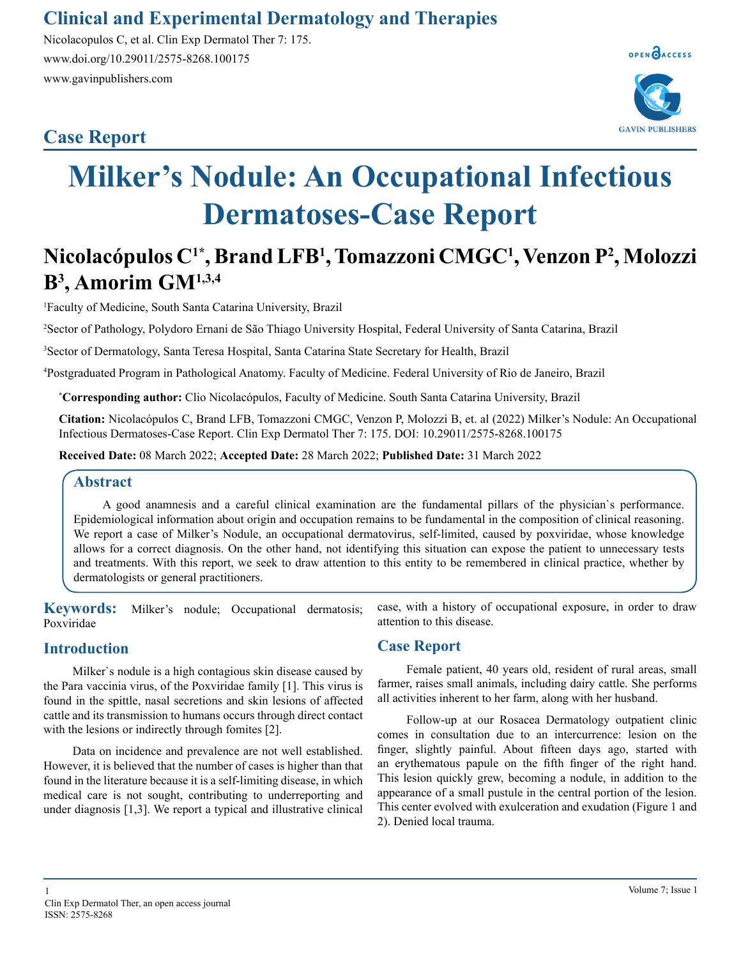## **Clinical and Experimental Dermatology and Therapies**

Nicolacopulos C, et al. Clin Exp Dermatol Ther 7: 175. www.doi.org/10.29011/2575-8268.100175 www.gavinpublishers.com

## **Case Report**



# **Milker's Nodule: An Occupational Infectious Dermatoses-Case Report**

# **Nicolacópulos C1\*, Brand LFB1 , Tomazzoni CMGC1 , Venzon P2 , Molozzi B3 , Amorim GM1,3,4**

1 Faculty of Medicine, South Santa Catarina University, Brazil

2 Sector of Pathology, Polydoro Ernani de São Thiago University Hospital, Federal University of Santa Catarina, Brazil

3 Sector of Dermatology, Santa Teresa Hospital, Santa Catarina State Secretary for Health, Brazil

4 Postgraduated Program in Pathological Anatomy. Faculty of Medicine. Federal University of Rio de Janeiro, Brazil

**\* Corresponding author:** Clio Nicolacópulos, Faculty of Medicine. South Santa Catarina University, Brazil

**Citation:** Nicolacópulos C, Brand LFB, Tomazzoni CMGC, Venzon P, Molozzi B, et. al (2022) Milker's Nodule: An Occupational Infectious Dermatoses-Case Report. Clin Exp Dermatol Ther 7: 175. DOI: 10.29011/2575-8268.100175

**Received Date:** 08 March 2022; **Accepted Date:** 28 March 2022; **Published Date:** 31 March 2022

#### **Abstract**

A good anamnesis and a careful clinical examination are the fundamental pillars of the physician`s performance. Epidemiological information about origin and occupation remains to be fundamental in the composition of clinical reasoning. We report a case of Milker's Nodule, an occupational dermatovirus, self-limited, caused by poxviridae, whose knowledge allows for a correct diagnosis. On the other hand, not identifying this situation can expose the patient to unnecessary tests and treatments. With this report, we seek to draw attention to this entity to be remembered in clinical practice, whether by dermatologists or general practitioners.

**Keywords:** Milker's nodule; Occupational dermatosis; Poxviridae

#### **Introduction**

Milker`s nodule is a high contagious skin disease caused by the Para vaccinia virus, of the Poxviridae family [1]. This virus is found in the spittle, nasal secretions and skin lesions of affected cattle and its transmission to humans occurs through direct contact with the lesions or indirectly through fomites [2].

Data on incidence and prevalence are not well established. However, it is believed that the number of cases is higher than that found in the literature because it is a self-limiting disease, in which medical care is not sought, contributing to underreporting and under diagnosis [1,3]. We report a typical and illustrative clinical

### attention to this disease. **Case Report**

Female patient, 40 years old, resident of rural areas, small farmer, raises small animals, including dairy cattle. She performs all activities inherent to her farm, along with her husband.

case, with a history of occupational exposure, in order to draw

Follow-up at our Rosacea Dermatology outpatient clinic comes in consultation due to an intercurrence: lesion on the finger, slightly painful. About fifteen days ago, started with an erythematous papule on the fifth finger of the right hand. This lesion quickly grew, becoming a nodule, in addition to the appearance of a small pustule in the central portion of the lesion. This center evolved with exulceration and exudation (Figure 1 and 2). Denied local trauma.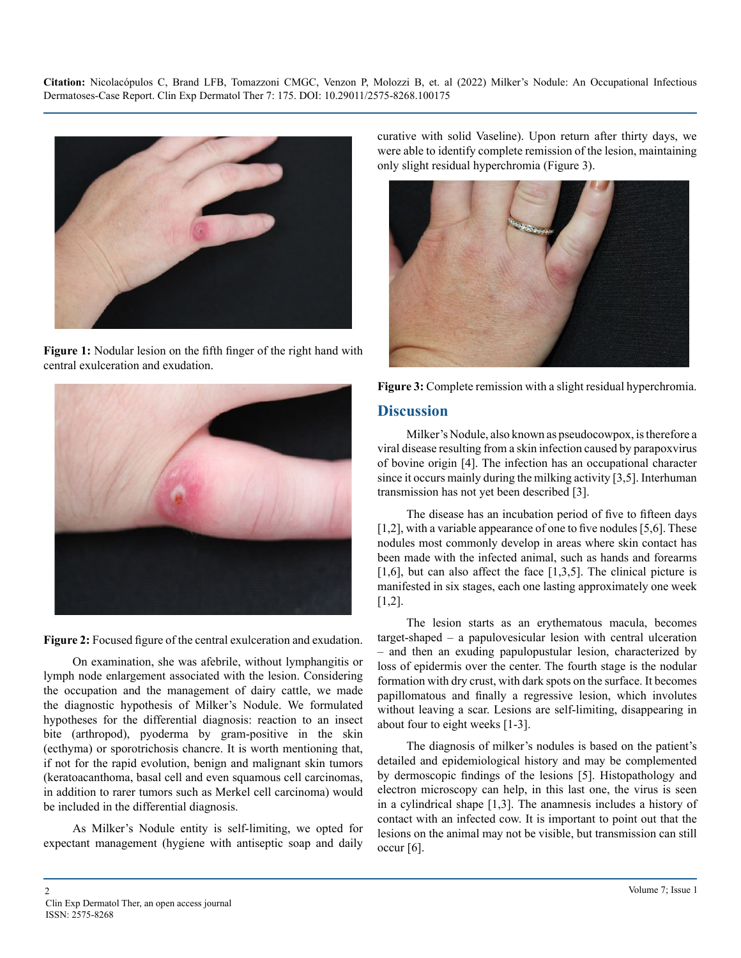**Citation:** Nicolacópulos C, Brand LFB, Tomazzoni CMGC, Venzon P, Molozzi B, et. al (2022) Milker's Nodule: An Occupational Infectious Dermatoses-Case Report. Clin Exp Dermatol Ther 7: 175. DOI: 10.29011/2575-8268.100175



**Figure 1:** Nodular lesion on the fifth finger of the right hand with central exulceration and exudation.



**Figure 2:** Focused figure of the central exulceration and exudation.

On examination, she was afebrile, without lymphangitis or lymph node enlargement associated with the lesion. Considering the occupation and the management of dairy cattle, we made the diagnostic hypothesis of Milker's Nodule. We formulated hypotheses for the differential diagnosis: reaction to an insect bite (arthropod), pyoderma by gram-positive in the skin (ecthyma) or sporotrichosis chancre. It is worth mentioning that, if not for the rapid evolution, benign and malignant skin tumors (keratoacanthoma, basal cell and even squamous cell carcinomas, in addition to rarer tumors such as Merkel cell carcinoma) would be included in the differential diagnosis.

As Milker's Nodule entity is self-limiting, we opted for expectant management (hygiene with antiseptic soap and daily curative with solid Vaseline). Upon return after thirty days, we were able to identify complete remission of the lesion, maintaining only slight residual hyperchromia (Figure 3).





#### **Discussion**

Milker's Nodule, also known as pseudocowpox, is therefore a viral disease resulting from a skin infection caused by parapoxvirus of bovine origin [4]. The infection has an occupational character since it occurs mainly during the milking activity [3,5]. Interhuman transmission has not yet been described [3].

The disease has an incubation period of five to fifteen days [1,2], with a variable appearance of one to five nodules [5,6]. These nodules most commonly develop in areas where skin contact has been made with the infected animal, such as hands and forearms [1,6], but can also affect the face  $[1,3,5]$ . The clinical picture is manifested in six stages, each one lasting approximately one week [1,2].

The lesion starts as an erythematous macula, becomes target-shaped – a papulovesicular lesion with central ulceration – and then an exuding papulopustular lesion, characterized by loss of epidermis over the center. The fourth stage is the nodular formation with dry crust, with dark spots on the surface. It becomes papillomatous and finally a regressive lesion, which involutes without leaving a scar. Lesions are self-limiting, disappearing in about four to eight weeks [1-3].

The diagnosis of milker's nodules is based on the patient's detailed and epidemiological history and may be complemented by dermoscopic findings of the lesions [5]. Histopathology and electron microscopy can help, in this last one, the virus is seen in a cylindrical shape [1,3]. The anamnesis includes a history of contact with an infected cow. It is important to point out that the lesions on the animal may not be visible, but transmission can still occur [6].